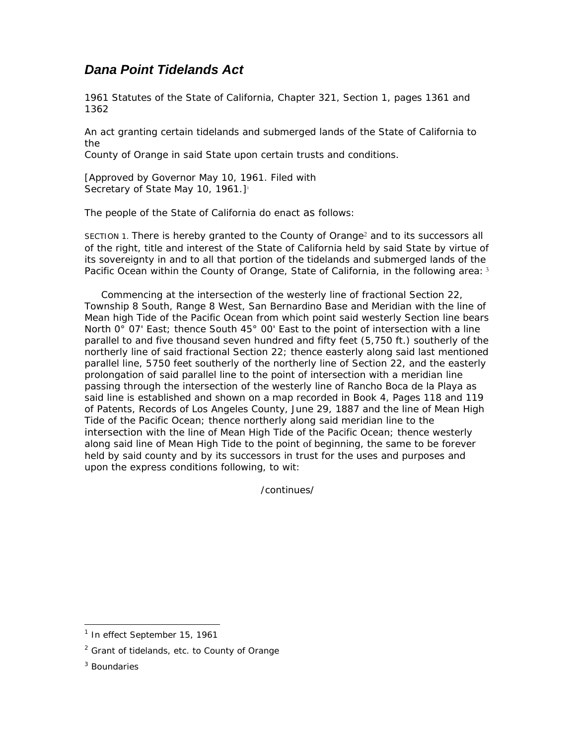## *Dana Point Tidelands Act*

1961 Statutes of the State of California, Chapter 321, Section 1, pages 1361 and 1362

An act granting certain tidelands and submerged lands of the State of California to the

County of Orange in said State upon certain trusts and conditions.

[Approved by Governor May 10, 1961. Filed with Secretary of State May 10, 1961.]<sup>1</sup>

The people of the State of California do enact as follows:

SECTION 1. There is hereby granted to the County of Orange2 and to its successors all of the right, title and interest of the State of California held by said State by virtue of its sovereignty in and to all that portion of the tidelands and submerged lands of the Pacific Ocean within the County of Orange, State of California, in the following area: 3

 Commencing at the intersection of the westerly line of fractional Section 22, Township 8 South, Range 8 West, San Bernardino Base and Meridian with the line of Mean high Tide of the Pacific Ocean from which point said westerly Section line bears North 0° 07' East; thence South 45° 00' East to the point of intersection with a line parallel to and five thousand seven hundred and fifty feet (5,750 ft.) southerly of the northerly line of said fractional Section 22; thence easterly along said last mentioned parallel line, 5750 feet southerly of the northerly line of Section 22, and the easterly prolongation of said parallel line to the point of intersection with a meridian line passing through the intersection of the westerly line of Rancho Boca de la Playa as said line is established and shown on a map recorded in Book 4, Pages 118 and 119 of Patents, Records of Los Angeles County, June 29, 1887 and the line of Mean High Tide of the Pacific Ocean; thence northerly along said meridian line to the intersection with the line of Mean High Tide of the Pacific Ocean; thence westerly along said line of Mean High Tide to the point of beginning, the same to be forever held by said county and by its successors in trust for the uses and purposes and upon the express conditions following, to wit:

/continues/

1

<sup>&</sup>lt;sup>1</sup> In effect September 15, 1961

<sup>&</sup>lt;sup>2</sup> Grant of tidelands, etc. to County of Orange

<sup>&</sup>lt;sup>3</sup> Boundaries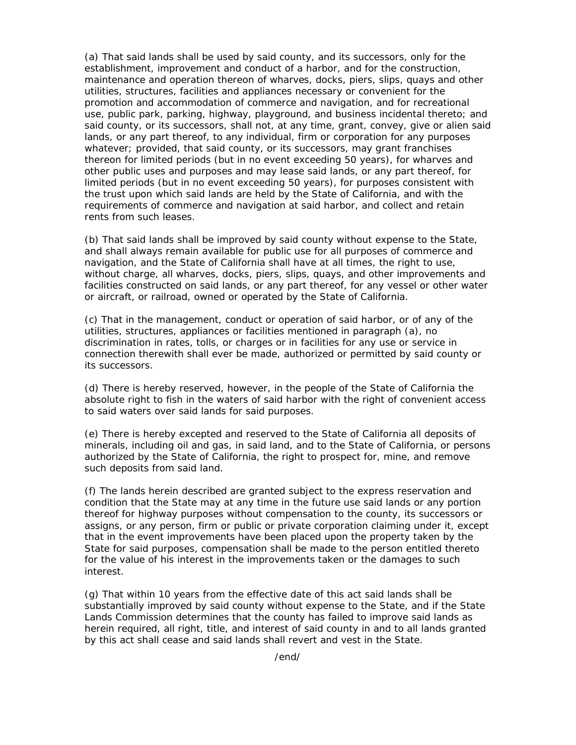(a) That said lands shall be used by said county, and its successors, only for the establishment, improvement and conduct of a harbor, and for the construction, maintenance and operation thereon of wharves, docks, piers, slips, quays and other utilities, structures, facilities and appliances necessary or convenient for the promotion and accommodation of commerce and navigation, and for recreational use, public park, parking, highway, playground, and business incidental thereto; and said county, or its successors, shall not, at any time, grant, convey, give or alien said lands, or any part thereof, to any individual, firm or corporation for any purposes whatever; provided, that said county, or its successors, may grant franchises thereon for limited periods (but in no event exceeding 50 years), for wharves and other public uses and purposes and may lease said lands, or any part thereof, for limited periods (but in no event exceeding 50 years), for purposes consistent with the trust upon which said lands are held by the State of California, and with the requirements of commerce and navigation at said harbor, and collect and retain rents from such leases.

(b) That said lands shall be improved by said county without expense to the State, and shall always remain available for public use for all purposes of commerce and navigation, and the State of California shall have at all times, the right to use, without charge, all wharves, docks, piers, slips, quays, and other improvements and facilities constructed on said lands, or any part thereof, for any vessel or other water or aircraft, or railroad, owned or operated by the State of California.

(c) That in the management, conduct or operation of said harbor, or of any of the utilities, structures, appliances or facilities mentioned in paragraph (a), no discrimination in rates, tolls, or charges or in facilities for any use or service in connection therewith shall ever be made, authorized or permitted by said county or its successors.

(d) There is hereby reserved, however, in the people of the State of California the absolute right to fish in the waters of said harbor with the right of convenient access to said waters over said lands for said purposes.

(e) There is hereby excepted and reserved to the State of California all deposits of minerals, including oil and gas, in said land, and to the State of California, or persons authorized by the State of California, the right to prospect for, mine, and remove such deposits from said land.

(f) The lands herein described are granted subject to the express reservation and condition that the State may at any time in the future use said lands or any portion thereof for highway purposes without compensation to the county, its successors or assigns, or any person, firm or public or private corporation claiming under it, except that in the event improvements have been placed upon the property taken by the State for said purposes, compensation shall be made to the person entitled thereto for the value of his interest in the improvements taken or the damages to such interest.

(g) That within 10 years from the effective date of this act said lands shall be substantially improved by said county without expense to the State, and if the State Lands Commission determines that the county has failed to improve said lands as herein required, all right, title, and interest of said county in and to all lands granted by this act shall cease and said lands shall revert and vest in the State.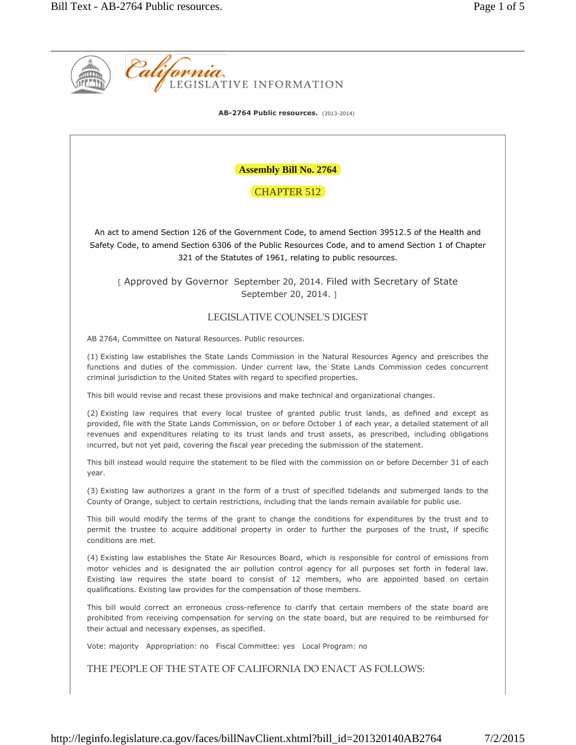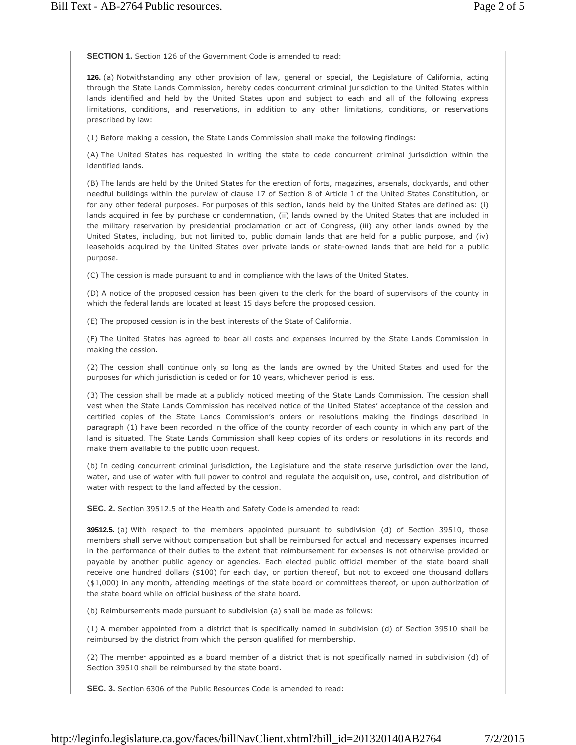**SECTION 1.** Section 126 of the Government Code is amended to read:

**126.** (a) Notwithstanding any other provision of law, general or special, the Legislature of California, acting through the State Lands Commission, hereby cedes concurrent criminal jurisdiction to the United States within lands identified and held by the United States upon and subject to each and all of the following express limitations, conditions, and reservations, in addition to any other limitations, conditions, or reservations prescribed by law:

(1) Before making a cession, the State Lands Commission shall make the following findings:

(A) The United States has requested in writing the state to cede concurrent criminal jurisdiction within the identified lands.

(B) The lands are held by the United States for the erection of forts, magazines, arsenals, dockyards, and other needful buildings within the purview of clause 17 of Section 8 of Article I of the United States Constitution, or for any other federal purposes. For purposes of this section, lands held by the United States are defined as: (i) lands acquired in fee by purchase or condemnation, (ii) lands owned by the United States that are included in the military reservation by presidential proclamation or act of Congress, (iii) any other lands owned by the United States, including, but not limited to, public domain lands that are held for a public purpose, and (iv) leaseholds acquired by the United States over private lands or state-owned lands that are held for a public purpose.

(C) The cession is made pursuant to and in compliance with the laws of the United States.

(D) A notice of the proposed cession has been given to the clerk for the board of supervisors of the county in which the federal lands are located at least 15 days before the proposed cession.

(E) The proposed cession is in the best interests of the State of California.

(F) The United States has agreed to bear all costs and expenses incurred by the State Lands Commission in making the cession.

(2) The cession shall continue only so long as the lands are owned by the United States and used for the purposes for which jurisdiction is ceded or for 10 years, whichever period is less.

(3) The cession shall be made at a publicly noticed meeting of the State Lands Commission. The cession shall vest when the State Lands Commission has received notice of the United States' acceptance of the cession and certified copies of the State Lands Commission's orders or resolutions making the findings described in paragraph (1) have been recorded in the office of the county recorder of each county in which any part of the land is situated. The State Lands Commission shall keep copies of its orders or resolutions in its records and make them available to the public upon request.

(b) In ceding concurrent criminal jurisdiction, the Legislature and the state reserve jurisdiction over the land, water, and use of water with full power to control and regulate the acquisition, use, control, and distribution of water with respect to the land affected by the cession.

**SEC. 2.** Section 39512.5 of the Health and Safety Code is amended to read:

**39512.5.** (a) With respect to the members appointed pursuant to subdivision (d) of Section 39510, those members shall serve without compensation but shall be reimbursed for actual and necessary expenses incurred in the performance of their duties to the extent that reimbursement for expenses is not otherwise provided or payable by another public agency or agencies. Each elected public official member of the state board shall receive one hundred dollars (\$100) for each day, or portion thereof, but not to exceed one thousand dollars (\$1,000) in any month, attending meetings of the state board or committees thereof, or upon authorization of the state board while on official business of the state board.

(b) Reimbursements made pursuant to subdivision (a) shall be made as follows:

(1) A member appointed from a district that is specifically named in subdivision (d) of Section 39510 shall be reimbursed by the district from which the person qualified for membership.

(2) The member appointed as a board member of a district that is not specifically named in subdivision (d) of Section 39510 shall be reimbursed by the state board.

**SEC. 3.** Section 6306 of the Public Resources Code is amended to read: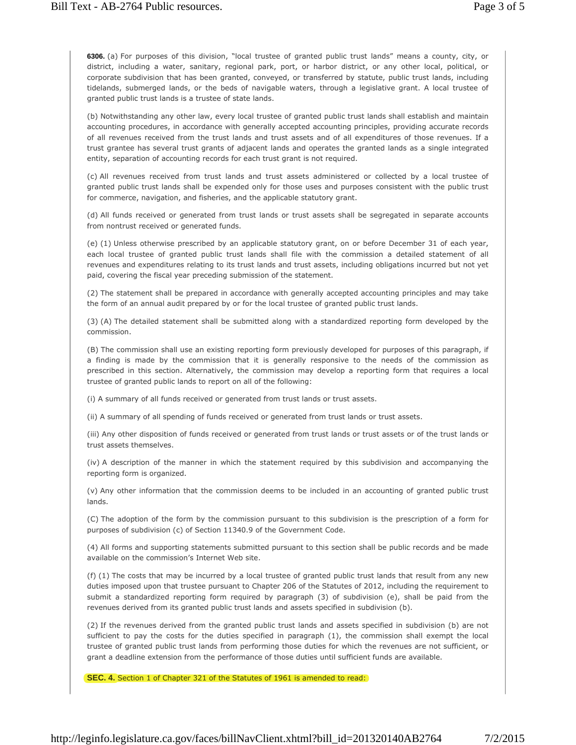**6306.** (a) For purposes of this division, "local trustee of granted public trust lands" means a county, city, or district, including a water, sanitary, regional park, port, or harbor district, or any other local, political, or corporate subdivision that has been granted, conveyed, or transferred by statute, public trust lands, including tidelands, submerged lands, or the beds of navigable waters, through a legislative grant. A local trustee of granted public trust lands is a trustee of state lands.

(b) Notwithstanding any other law, every local trustee of granted public trust lands shall establish and maintain accounting procedures, in accordance with generally accepted accounting principles, providing accurate records of all revenues received from the trust lands and trust assets and of all expenditures of those revenues. If a trust grantee has several trust grants of adjacent lands and operates the granted lands as a single integrated entity, separation of accounting records for each trust grant is not required.

(c) All revenues received from trust lands and trust assets administered or collected by a local trustee of granted public trust lands shall be expended only for those uses and purposes consistent with the public trust for commerce, navigation, and fisheries, and the applicable statutory grant.

(d) All funds received or generated from trust lands or trust assets shall be segregated in separate accounts from nontrust received or generated funds.

(e) (1) Unless otherwise prescribed by an applicable statutory grant, on or before December 31 of each year, each local trustee of granted public trust lands shall file with the commission a detailed statement of all revenues and expenditures relating to its trust lands and trust assets, including obligations incurred but not yet paid, covering the fiscal year preceding submission of the statement.

(2) The statement shall be prepared in accordance with generally accepted accounting principles and may take the form of an annual audit prepared by or for the local trustee of granted public trust lands.

(3) (A) The detailed statement shall be submitted along with a standardized reporting form developed by the commission.

(B) The commission shall use an existing reporting form previously developed for purposes of this paragraph, if a finding is made by the commission that it is generally responsive to the needs of the commission as prescribed in this section. Alternatively, the commission may develop a reporting form that requires a local trustee of granted public lands to report on all of the following:

(i) A summary of all funds received or generated from trust lands or trust assets.

(ii) A summary of all spending of funds received or generated from trust lands or trust assets.

(iii) Any other disposition of funds received or generated from trust lands or trust assets or of the trust lands or trust assets themselves.

(iv) A description of the manner in which the statement required by this subdivision and accompanying the reporting form is organized.

(v) Any other information that the commission deems to be included in an accounting of granted public trust lands.

(C) The adoption of the form by the commission pursuant to this subdivision is the prescription of a form for purposes of subdivision (c) of Section 11340.9 of the Government Code.

(4) All forms and supporting statements submitted pursuant to this section shall be public records and be made available on the commission's Internet Web site.

(f) (1) The costs that may be incurred by a local trustee of granted public trust lands that result from any new duties imposed upon that trustee pursuant to Chapter 206 of the Statutes of 2012, including the requirement to submit a standardized reporting form required by paragraph (3) of subdivision (e), shall be paid from the revenues derived from its granted public trust lands and assets specified in subdivision (b).

(2) If the revenues derived from the granted public trust lands and assets specified in subdivision (b) are not sufficient to pay the costs for the duties specified in paragraph (1), the commission shall exempt the local trustee of granted public trust lands from performing those duties for which the revenues are not sufficient, or grant a deadline extension from the performance of those duties until sufficient funds are available.

**SEC. 4.** Section 1 of Chapter 321 of the Statutes of 1961 is amended to read: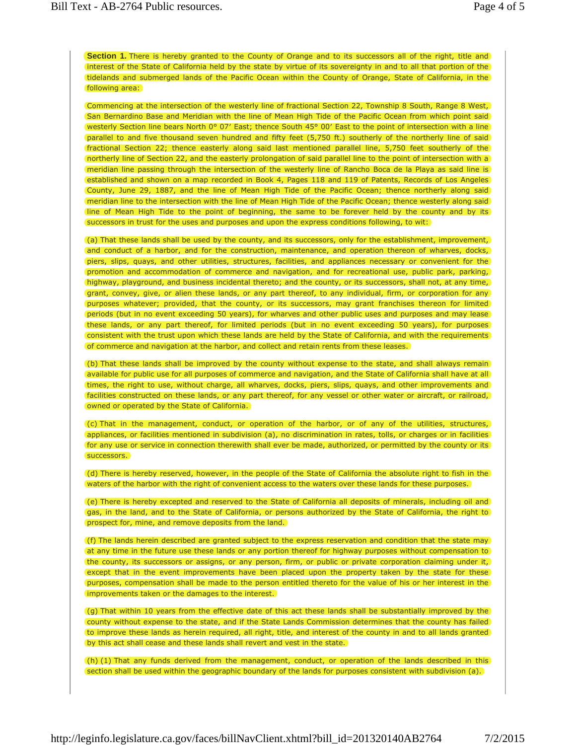**Section 1.** There is hereby granted to the County of Orange and to its successors all of the right, title and interest of the State of California held by the state by virtue of its sovereignty in and to all that portion of the tidelands and submerged lands of the Pacific Ocean within the County of Orange, State of California, in the following area:

Commencing at the intersection of the westerly line of fractional Section 22, Township 8 South, Range 8 West, San Bernardino Base and Meridian with the line of Mean High Tide of the Pacific Ocean from which point said westerly Section line bears North 0° 07' East; thence South 45° 00' East to the point of intersection with a line parallel to and five thousand seven hundred and fifty feet (5,750 ft.) southerly of the northerly line of said fractional Section 22; thence easterly along said last mentioned parallel line, 5,750 feet southerly of the northerly line of Section 22, and the easterly prolongation of said parallel line to the point of intersection with a meridian line passing through the intersection of the westerly line of Rancho Boca de la Playa as said line is established and shown on a map recorded in Book 4, Pages 118 and 119 of Patents, Records of Los Angeles County, June 29, 1887, and the line of Mean High Tide of the Pacific Ocean; thence northerly along said meridian line to the intersection with the line of Mean High Tide of the Pacific Ocean; thence westerly along said line of Mean High Tide to the point of beginning, the same to be forever held by the county and by its successors in trust for the uses and purposes and upon the express conditions following, to wit:

(a) That these lands shall be used by the county, and its successors, only for the establishment, improvement, and conduct of a harbor, and for the construction, maintenance, and operation thereon of wharves, docks, piers, slips, quays, and other utilities, structures, facilities, and appliances necessary or convenient for the promotion and accommodation of commerce and navigation, and for recreational use, public park, parking, highway, playground, and business incidental thereto; and the county, or its successors, shall not, at any time, grant, convey, give, or alien these lands, or any part thereof, to any individual, firm, or corporation for any purposes whatever; provided, that the county, or its successors, may grant franchises thereon for limited) periods (but in no event exceeding 50 years), for wharves and other public uses and purposes and may lease these lands, or any part thereof, for limited periods (but in no event exceeding 50 years), for purposes consistent with the trust upon which these lands are held by the State of California, and with the requirements of commerce and navigation at the harbor, and collect and retain rents from these leases.

(b) That these lands shall be improved by the county without expense to the state, and shall always remain available for public use for all purposes of commerce and navigation, and the State of California shall have at all times, the right to use, without charge, all wharves, docks, piers, slips, quays, and other improvements and facilities constructed on these lands, or any part thereof, for any vessel or other water or aircraft, or railroad, owned or operated by the State of California.

(c) That in the management, conduct, or operation of the harbor, or of any of the utilities, structures, appliances, or facilities mentioned in subdivision (a), no discrimination in rates, tolls, or charges or in facilities for any use or service in connection therewith shall ever be made, authorized, or permitted by the county or its successors.

(d) There is hereby reserved, however, in the people of the State of California the absolute right to fish in the waters of the harbor with the right of convenient access to the waters over these lands for these purposes.

(e) There is hereby excepted and reserved to the State of California all deposits of minerals, including oil and gas, in the land, and to the State of California, or persons authorized by the State of California, the right to prospect for, mine, and remove deposits from the land.

(f) The lands herein described are granted subject to the express reservation and condition that the state may at any time in the future use these lands or any portion thereof for highway purposes without compensation to the county, its successors or assigns, or any person, firm, or public or private corporation claiming under it, except that in the event improvements have been placed upon the property taken by the state for these) purposes, compensation shall be made to the person entitled thereto for the value of his or her interest in the improvements taken or the damages to the interest.

(g) That within 10 years from the effective date of this act these lands shall be substantially improved by the county without expense to the state, and if the State Lands Commission determines that the county has failed to improve these lands as herein required, all right, title, and interest of the county in and to all lands granted by this act shall cease and these lands shall revert and vest in the state.

(h) (1) That any funds derived from the management, conduct, or operation of the lands described in this section shall be used within the geographic boundary of the lands for purposes consistent with subdivision (a).